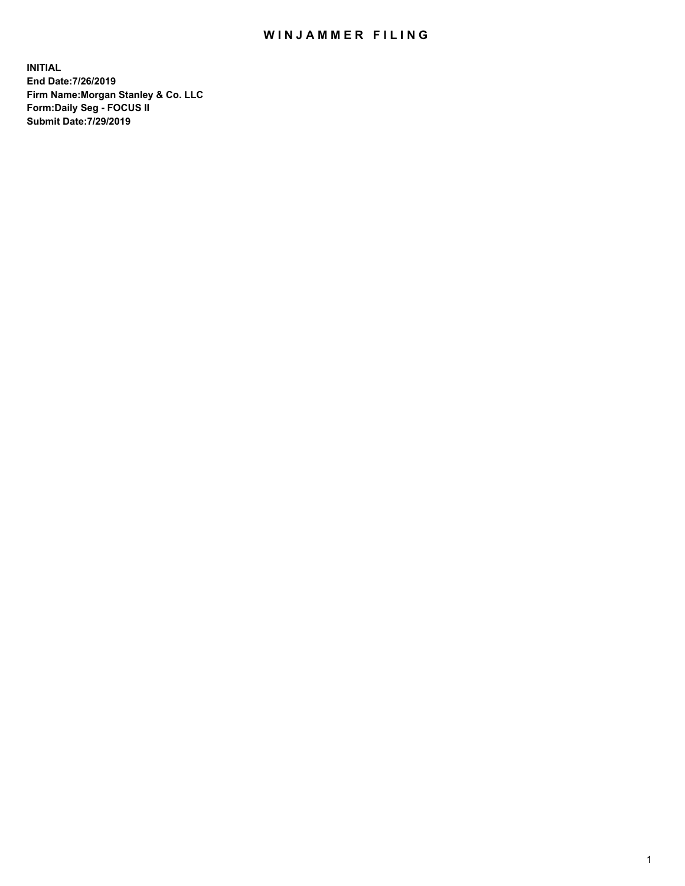## WIN JAMMER FILING

**INITIAL End Date:7/26/2019 Firm Name:Morgan Stanley & Co. LLC Form:Daily Seg - FOCUS II Submit Date:7/29/2019**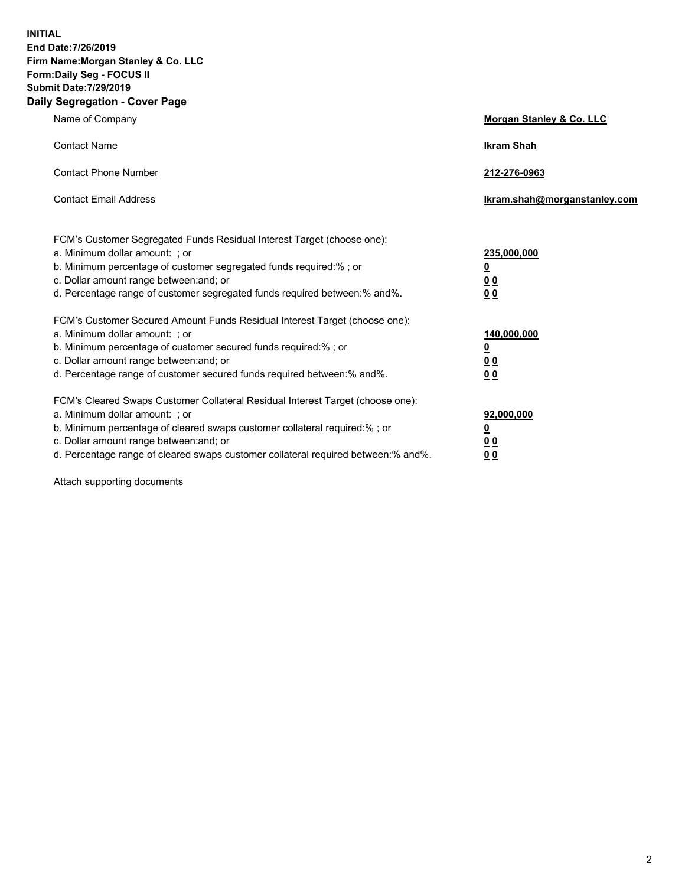**INITIAL End Date:7/26/2019 Firm Name:Morgan Stanley & Co. LLC Form:Daily Seg - FOCUS II Submit Date:7/29/2019 Daily Segregation - Cover Page**

| Name of Company                                                                                                                                                                                                                                                                                                                | Morgan Stanley & Co. LLC                                    |
|--------------------------------------------------------------------------------------------------------------------------------------------------------------------------------------------------------------------------------------------------------------------------------------------------------------------------------|-------------------------------------------------------------|
| <b>Contact Name</b>                                                                                                                                                                                                                                                                                                            | <b>Ikram Shah</b>                                           |
| <b>Contact Phone Number</b>                                                                                                                                                                                                                                                                                                    | 212-276-0963                                                |
| <b>Contact Email Address</b>                                                                                                                                                                                                                                                                                                   | Ikram.shah@morganstanley.com                                |
| FCM's Customer Segregated Funds Residual Interest Target (choose one):<br>a. Minimum dollar amount: ; or<br>b. Minimum percentage of customer segregated funds required:% ; or<br>c. Dollar amount range between: and; or<br>d. Percentage range of customer segregated funds required between:% and%.                         | 235,000,000<br><u>0</u><br>0 <sub>0</sub><br>0 <sub>0</sub> |
| FCM's Customer Secured Amount Funds Residual Interest Target (choose one):<br>a. Minimum dollar amount: ; or<br>b. Minimum percentage of customer secured funds required:%; or<br>c. Dollar amount range between: and; or<br>d. Percentage range of customer secured funds required between:% and%.                            | 140,000,000<br><u>0</u><br>0 <sub>0</sub><br>0 <sub>0</sub> |
| FCM's Cleared Swaps Customer Collateral Residual Interest Target (choose one):<br>a. Minimum dollar amount: ; or<br>b. Minimum percentage of cleared swaps customer collateral required:% ; or<br>c. Dollar amount range between: and; or<br>d. Percentage range of cleared swaps customer collateral required between:% and%. | 92,000,000<br><u>0</u><br><u>00</u><br>0 <sub>0</sub>       |

Attach supporting documents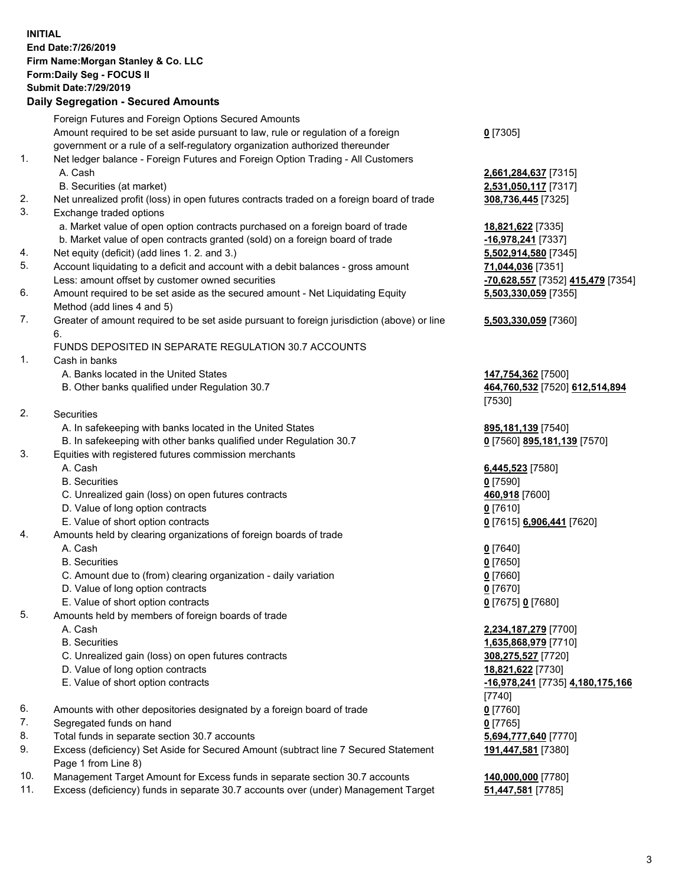## **INITIAL End Date:7/26/2019 Firm Name:Morgan Stanley & Co. LLC Form:Daily Seg - FOCUS II Submit Date:7/29/2019**

## **Daily Segregation - Secured Amounts**

|    | Foreign Futures and Foreign Options Secured Amounts                                         |                          |
|----|---------------------------------------------------------------------------------------------|--------------------------|
|    | Amount required to be set aside pursuant to law, rule or regulation of a foreign            | $0$ [7305]               |
|    | government or a rule of a self-regulatory organization authorized thereunder                |                          |
| 1. | Net ledger balance - Foreign Futures and Foreign Option Trading - All Customers             |                          |
|    | A. Cash                                                                                     | 2,661,284,637 [731       |
|    | B. Securities (at market)                                                                   | 2,531,050,117 [731       |
| 2. | Net unrealized profit (loss) in open futures contracts traded on a foreign board of trade   | 308,736,445 [7325]       |
| 3. | Exchange traded options                                                                     |                          |
|    | a. Market value of open option contracts purchased on a foreign board of trade              | 18,821,622 [7335]        |
|    | b. Market value of open contracts granted (sold) on a foreign board of trade                | -16,978,241 [7337]       |
| 4. | Net equity (deficit) (add lines 1.2. and 3.)                                                | 5,502,914,580 [734       |
| 5. | Account liquidating to a deficit and account with a debit balances - gross amount           | 71,044,036 [7351]        |
|    | Less: amount offset by customer owned securities                                            | -70,628,557 [7352]       |
| 6. | Amount required to be set aside as the secured amount - Net Liquidating Equity              | 5,503,330,059 [735       |
|    | Method (add lines 4 and 5)                                                                  |                          |
| 7. | Greater of amount required to be set aside pursuant to foreign jurisdiction (above) or line | 5,503,330,059 [736       |
|    | 6.                                                                                          |                          |
|    | FUNDS DEPOSITED IN SEPARATE REGULATION 30.7 ACCOUNTS                                        |                          |
| 1. | Cash in banks                                                                               |                          |
|    | A. Banks located in the United States                                                       | 147,754,362 [7500]       |
|    | B. Other banks qualified under Regulation 30.7                                              | 464,760,532 [7520]       |
|    |                                                                                             | [7530]                   |
| 2. | Securities                                                                                  |                          |
|    | A. In safekeeping with banks located in the United States                                   | 895,181,139 [7540]       |
|    | B. In safekeeping with other banks qualified under Regulation 30.7                          | 0 [7560] 895,181,1:      |
| 3. | Equities with registered futures commission merchants                                       |                          |
|    | A. Cash                                                                                     | 6,445,523 [7580]         |
|    | <b>B.</b> Securities                                                                        | $0$ [7590]               |
|    | C. Unrealized gain (loss) on open futures contracts                                         | 460,918 [7600]           |
|    | D. Value of long option contracts<br>E. Value of short option contracts                     | $0$ [7610]               |
| 4. | Amounts held by clearing organizations of foreign boards of trade                           | 0 [7615] 6,906,441       |
|    | A. Cash                                                                                     |                          |
|    | <b>B.</b> Securities                                                                        | $0$ [7640]<br>$0$ [7650] |
|    | C. Amount due to (from) clearing organization - daily variation                             | $0$ [7660]               |
|    | D. Value of long option contracts                                                           | $0$ [7670]               |
|    | E. Value of short option contracts                                                          | 0 [7675] 0 [7680]        |
| 5. | Amounts held by members of foreign boards of trade                                          |                          |
|    | A. Cash                                                                                     | 2,234,187,279 [770       |
|    | <b>B.</b> Securities                                                                        | 1,635,868,979 [771       |
|    | C. Unrealized gain (loss) on open futures contracts                                         | 308,275,527 [7720]       |
|    | D. Value of long option contracts                                                           | 18,821,622 [7730]        |
|    | E. Value of short option contracts                                                          | -16,978,241 [7735]       |
|    |                                                                                             | [7740]                   |
| 6. | Amounts with other depositories designated by a foreign board of trade                      | $0$ [7760]               |
| 7. | Segregated funds on hand                                                                    | $0$ [7765]               |
| 8. | Total funds in separate section 30.7 accounts                                               | 5,694,777,640 [777       |
| 9. | Excess (deficiency) Set Aside for Secured Amount (subtract line 7 Secured Statement         | 191,447,581 [7380]       |
|    | Page 1 from Line 8)                                                                         |                          |
|    |                                                                                             |                          |

- 10. Management Target Amount for Excess funds in separate section 30.7 accounts **140,000,000** [7780]
- 11. Excess (deficiency) funds in separate 30.7 accounts over (under) Management Target **51,447,581** [7785]

**284,637** [7315] **50,117** [7317]

8. 241 [7337] 014,580 [7345] Less: amount offset by customer owned securities **-70,628,557** [7352] **415,479** [7354] **5,503,330,059** [7355]

## **5,503,330,059** [7360]

4,362 [7500] B. Other banks qualified under Regulation 30.7 **464,760,532** [7520] **612,514,894**

1,139 [7540] B. IE S<mark>895,181,139</mark> [7570]

E. Value of short option contracts **0** [7615] **6,906,441** [7620]

 A. Cash **2,234,187,279** [7700] 868,979 [7710] **5,527** [7720] E. Value of short option contracts **-16,978,241** [7735] **4,180,175,166** 8. Total **7770 191,447,581** [7380]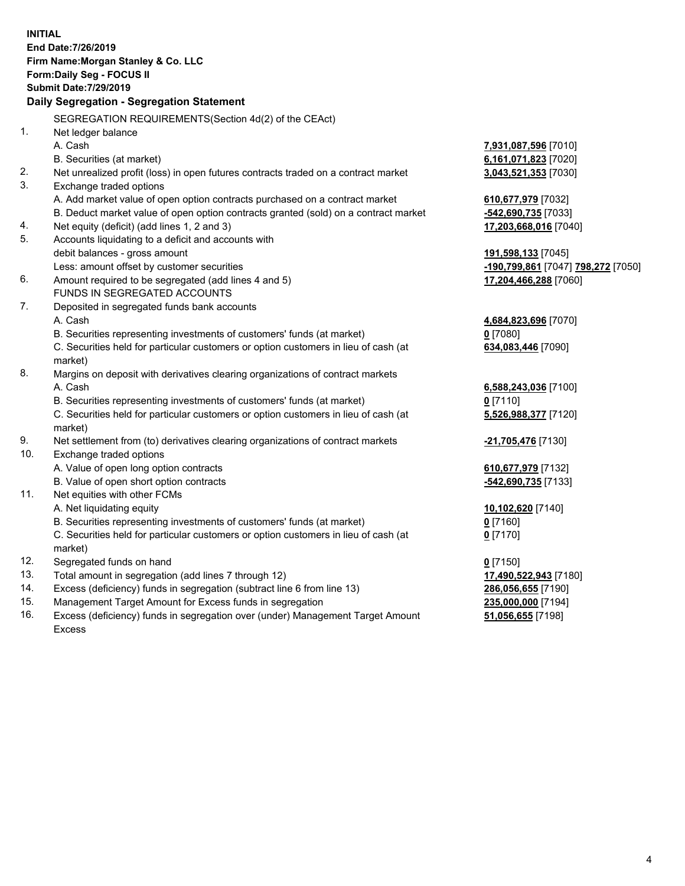**INITIAL End Date:7/26/2019 Firm Name:Morgan Stanley & Co. LLC Form:Daily Seg - FOCUS II Submit Date:7/29/2019 Daily Segregation - Segregation Statement** SEGREGATION REQUIREMENTS(Section 4d(2) of the CEAct) 1. Net ledger balance A. Cash **7,931,087,596** [7010] B. Securities (at market) **6,161,071,823** [7020] 2. Net unrealized profit (loss) in open futures contracts traded on a contract market **3,043,521,353** [7030] 3. Exchange traded options A. Add market value of open option contracts purchased on a contract market **610,677,979** [7032] B. Deduct market value of open option contracts granted (sold) on a contract market **-542,690,735** [7033] 4. Net equity (deficit) (add lines 1, 2 and 3) **17,203,668,016** [7040] 5. Accounts liquidating to a deficit and accounts with debit balances - gross amount **191,598,133** [7045] Less: amount offset by customer securities **-190,799,861** [7047] **798,272** [7050] 6. Amount required to be segregated (add lines 4 and 5) **17,204,466,288** [7060] FUNDS IN SEGREGATED ACCOUNTS 7. Deposited in segregated funds bank accounts A. Cash **4,684,823,696** [7070] B. Securities representing investments of customers' funds (at market) **0** [7080] C. Securities held for particular customers or option customers in lieu of cash (at market) **634,083,446** [7090] 8. Margins on deposit with derivatives clearing organizations of contract markets A. Cash **6,588,243,036** [7100] B. Securities representing investments of customers' funds (at market) **0** [7110] C. Securities held for particular customers or option customers in lieu of cash (at market) **5,526,988,377** [7120] 9. Net settlement from (to) derivatives clearing organizations of contract markets **-21,705,476** [7130] 10. Exchange traded options A. Value of open long option contracts **610,677,979** [7132] B. Value of open short option contracts **-542,690,735** [7133] 11. Net equities with other FCMs A. Net liquidating equity **10,102,620** [7140] B. Securities representing investments of customers' funds (at market) **0** [7160] C. Securities held for particular customers or option customers in lieu of cash (at market) **0** [7170] 12. Segregated funds on hand **0** [7150] 13. Total amount in segregation (add lines 7 through 12) **17,490,522,943** [7180] 14. Excess (deficiency) funds in segregation (subtract line 6 from line 13) **286,056,655** [7190] 15. Management Target Amount for Excess funds in segregation **235,000,000** [7194] 16. Excess (deficiency) funds in segregation over (under) Management Target Amount **51,056,655** [7198]

Excess